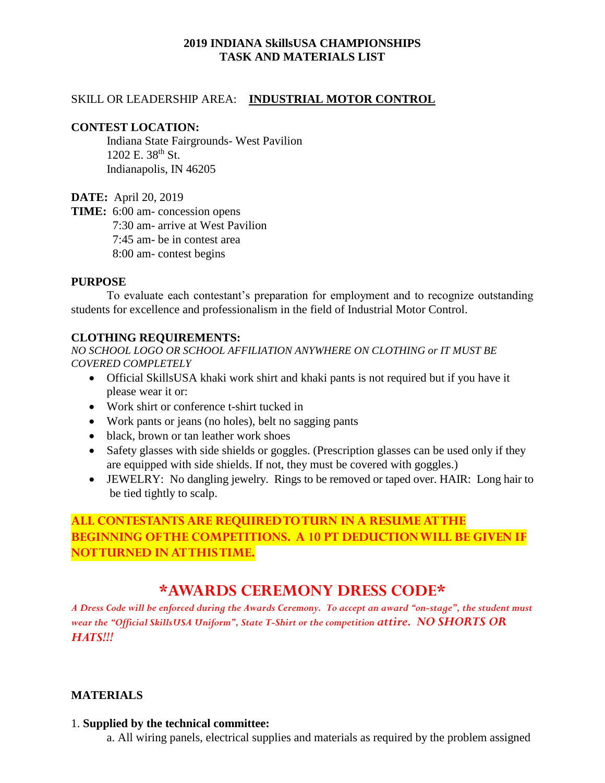## **2019 INDIANA SkillsUSA CHAMPIONSHIPS TASK AND MATERIALS LIST**

### SKILL OR LEADERSHIP AREA: **INDUSTRIAL MOTOR CONTROL**

#### **CONTEST LOCATION:**

Indiana State Fairgrounds- West Pavilion 1202 E. 38<sup>th</sup> St. Indianapolis, IN 46205

**DATE:** April 20, 2019

**TIME:** 6:00 am- concession opens 7:30 am- arrive at West Pavilion 7:45 am- be in contest area 8:00 am- contest begins

#### **PURPOSE**

To evaluate each contestant's preparation for employment and to recognize outstanding students for excellence and professionalism in the field of Industrial Motor Control.

### **CLOTHING REQUIREMENTS:**

*NO SCHOOL LOGO OR SCHOOL AFFILIATION ANYWHERE ON CLOTHING or IT MUST BE COVERED COMPLETELY*

- Official SkillsUSA khaki work shirt and khaki pants is not required but if you have it please wear it or:
- Work shirt or conference t-shirt tucked in
- Work pants or jeans (no holes), belt no sagging pants
- black, brown or tan leather work shoes
- Safety glasses with side shields or goggles. (Prescription glasses can be used only if they are equipped with side shields. If not, they must be covered with goggles.)
- JEWELRY: No dangling jewelry. Rings to be removed or taped over. HAIR: Long hair to be tied tightly to scalp.

# **ALL CONTESTANTS ARE REQUIRED TO TURN IN A RESUME AT THE BEGINNING OF THE COMPETITIONS. A 10 PT DEDUCTION WILL BE GIVEN IF NOT TURNED IN AT THIS TIME.**

# **\*AWARDS CEREMONY DRESS CODE\***

*A Dress Code will be enforced during the Awards Ceremony. To accept an award "on-stage", the student must wear the "Official SkillsUSA Uniform", State T-Shirt or the competition attire. NO SHORTS OR HATS!!!*

### **MATERIALS**

### 1. **Supplied by the technical committee:**

a. All wiring panels, electrical supplies and materials as required by the problem assigned